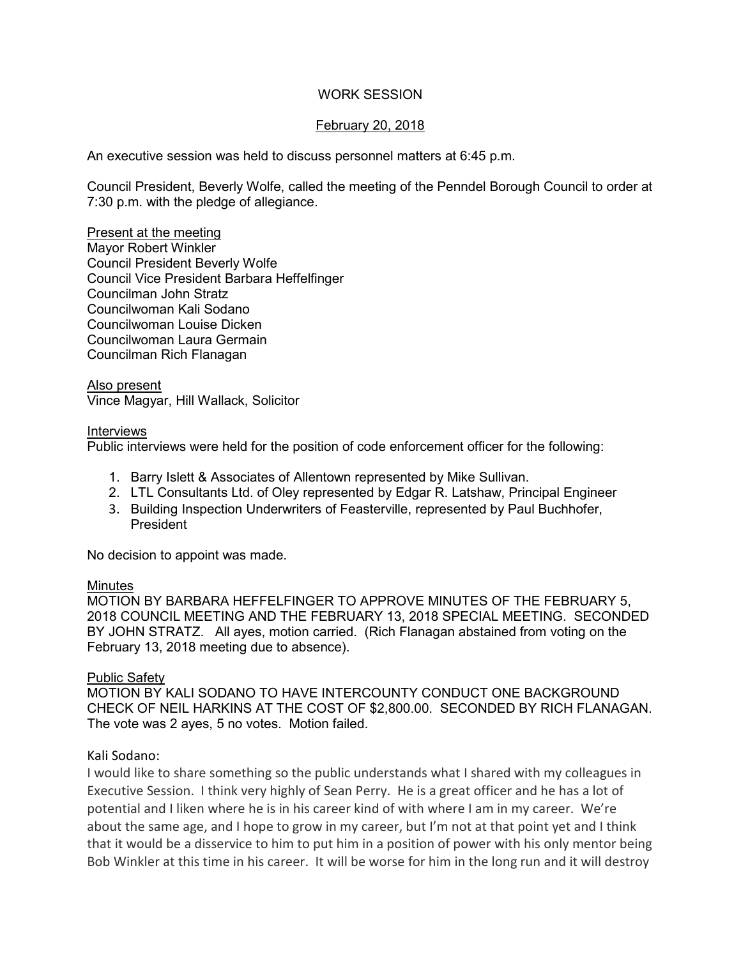# WORK SESSION

# February 20, 2018

An executive session was held to discuss personnel matters at 6:45 p.m.

Council President, Beverly Wolfe, called the meeting of the Penndel Borough Council to order at 7:30 p.m. with the pledge of allegiance.

Present at the meeting Mayor Robert Winkler Council President Beverly Wolfe Council Vice President Barbara Heffelfinger Councilman John Stratz Councilwoman Kali Sodano Councilwoman Louise Dicken Councilwoman Laura Germain Councilman Rich Flanagan

Also present Vince Magyar, Hill Wallack, Solicitor

### **Interviews**

Public interviews were held for the position of code enforcement officer for the following:

- 1. Barry Islett & Associates of Allentown represented by Mike Sullivan.
- 2. LTL Consultants Ltd. of Oley represented by Edgar R. Latshaw, Principal Engineer
- 3. Building Inspection Underwriters of Feasterville, represented by Paul Buchhofer, President

No decision to appoint was made.

## Minutes

MOTION BY BARBARA HEFFELFINGER TO APPROVE MINUTES OF THE FEBRUARY 5, 2018 COUNCIL MEETING AND THE FEBRUARY 13, 2018 SPECIAL MEETING. SECONDED BY JOHN STRATZ. All ayes, motion carried. (Rich Flanagan abstained from voting on the February 13, 2018 meeting due to absence).

## Public Safety

MOTION BY KALI SODANO TO HAVE INTERCOUNTY CONDUCT ONE BACKGROUND CHECK OF NEIL HARKINS AT THE COST OF \$2,800.00. SECONDED BY RICH FLANAGAN. The vote was 2 ayes, 5 no votes. Motion failed.

## Kali Sodano:

I would like to share something so the public understands what I shared with my colleagues in Executive Session. I think very highly of Sean Perry. He is a great officer and he has a lot of potential and I liken where he is in his career kind of with where I am in my career. We're about the same age, and I hope to grow in my career, but I'm not at that point yet and I think that it would be a disservice to him to put him in a position of power with his only mentor being Bob Winkler at this time in his career. It will be worse for him in the long run and it will destroy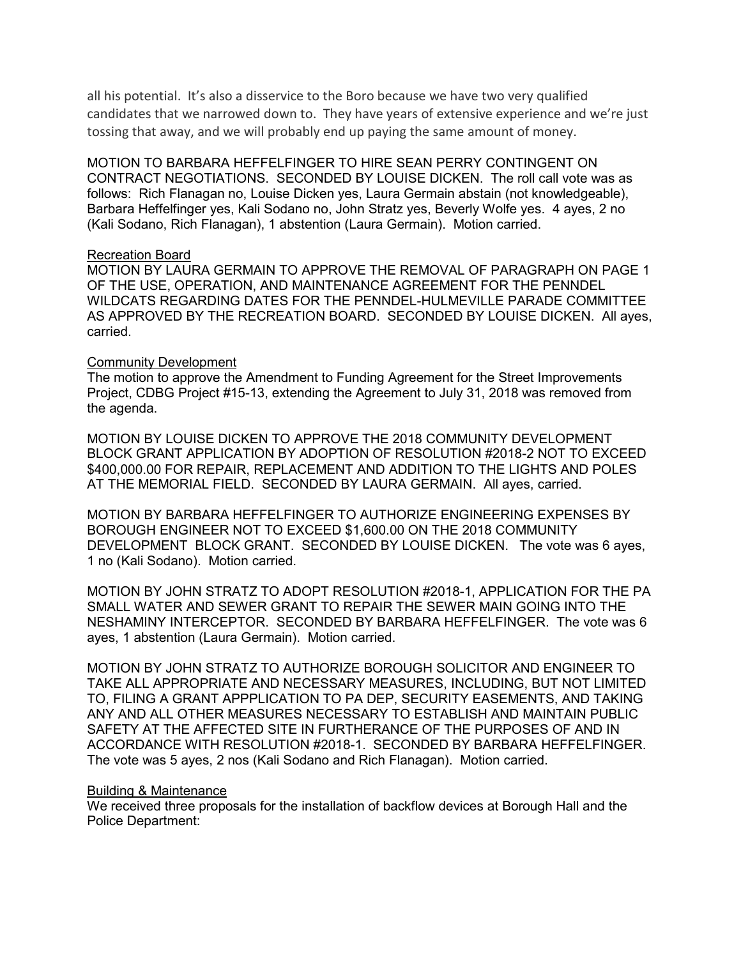all his potential. It's also a disservice to the Boro because we have two very qualified candidates that we narrowed down to. They have years of extensive experience and we're just tossing that away, and we will probably end up paying the same amount of money.

MOTION TO BARBARA HEFFELFINGER TO HIRE SEAN PERRY CONTINGENT ON CONTRACT NEGOTIATIONS. SECONDED BY LOUISE DICKEN. The roll call vote was as follows: Rich Flanagan no, Louise Dicken yes, Laura Germain abstain (not knowledgeable), Barbara Heffelfinger yes, Kali Sodano no, John Stratz yes, Beverly Wolfe yes. 4 ayes, 2 no (Kali Sodano, Rich Flanagan), 1 abstention (Laura Germain). Motion carried.

### Recreation Board

MOTION BY LAURA GERMAIN TO APPROVE THE REMOVAL OF PARAGRAPH ON PAGE 1 OF THE USE, OPERATION, AND MAINTENANCE AGREEMENT FOR THE PENNDEL WILDCATS REGARDING DATES FOR THE PENNDEL-HULMEVILLE PARADE COMMITTEE AS APPROVED BY THE RECREATION BOARD. SECONDED BY LOUISE DICKEN. All ayes, carried.

## Community Development

The motion to approve the Amendment to Funding Agreement for the Street Improvements Project, CDBG Project #15-13, extending the Agreement to July 31, 2018 was removed from the agenda.

MOTION BY LOUISE DICKEN TO APPROVE THE 2018 COMMUNITY DEVELOPMENT BLOCK GRANT APPLICATION BY ADOPTION OF RESOLUTION #2018-2 NOT TO EXCEED \$400,000.00 FOR REPAIR, REPLACEMENT AND ADDITION TO THE LIGHTS AND POLES AT THE MEMORIAL FIELD. SECONDED BY LAURA GERMAIN. All ayes, carried.

MOTION BY BARBARA HEFFELFINGER TO AUTHORIZE ENGINEERING EXPENSES BY BOROUGH ENGINEER NOT TO EXCEED \$1,600.00 ON THE 2018 COMMUNITY DEVELOPMENT BLOCK GRANT. SECONDED BY LOUISE DICKEN. The vote was 6 ayes, 1 no (Kali Sodano). Motion carried.

MOTION BY JOHN STRATZ TO ADOPT RESOLUTION #2018-1, APPLICATION FOR THE PA SMALL WATER AND SEWER GRANT TO REPAIR THE SEWER MAIN GOING INTO THE NESHAMINY INTERCEPTOR. SECONDED BY BARBARA HEFFELFINGER. The vote was 6 ayes, 1 abstention (Laura Germain). Motion carried.

MOTION BY JOHN STRATZ TO AUTHORIZE BOROUGH SOLICITOR AND ENGINEER TO TAKE ALL APPROPRIATE AND NECESSARY MEASURES, INCLUDING, BUT NOT LIMITED TO, FILING A GRANT APPPLICATION TO PA DEP, SECURITY EASEMENTS, AND TAKING ANY AND ALL OTHER MEASURES NECESSARY TO ESTABLISH AND MAINTAIN PUBLIC SAFETY AT THE AFFECTED SITE IN FURTHERANCE OF THE PURPOSES OF AND IN ACCORDANCE WITH RESOLUTION #2018-1. SECONDED BY BARBARA HEFFELFINGER. The vote was 5 ayes, 2 nos (Kali Sodano and Rich Flanagan). Motion carried.

#### Building & Maintenance

We received three proposals for the installation of backflow devices at Borough Hall and the Police Department: